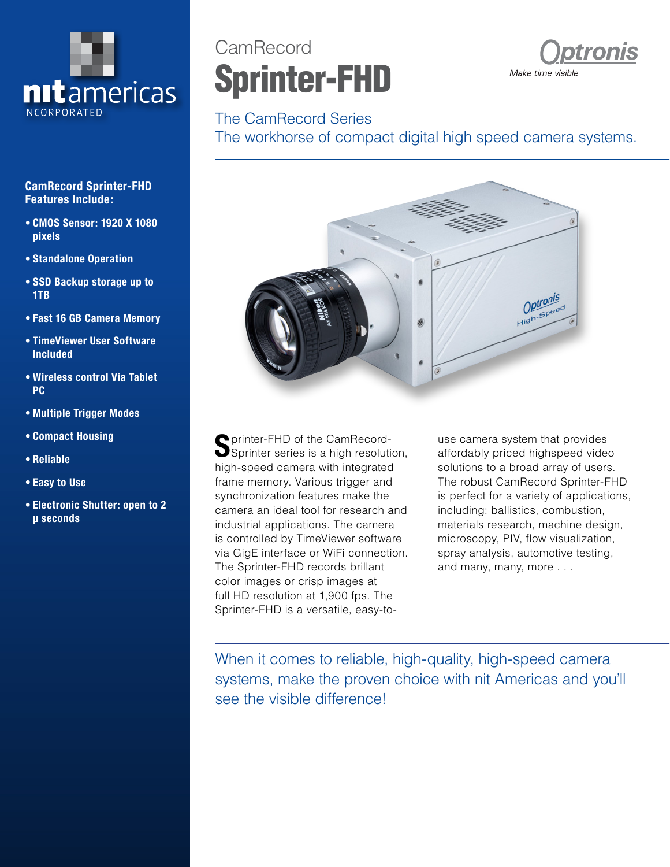

#### **CamRecord Sprinter-FHD Features Include:**

- **• CMOS Sensor: 1920 X 1080 pixels**
- **• Standalone Operation**
- **• SSD Backup storage up to 1TB**
- **• Fast 16 GB Camera Memory**
- **• TimeViewer User Software Included**
- **• Wireless control Via Tablet PC**
- **• Multiple Trigger Modes**
- **• Compact Housing**
- **• Reliable**
- **• Easy to Use**
- **• Electronic Shutter: open to 2 μ seconds**

# CamRecord Sprinter-FHD



## The CamRecord Series

The workhorse of compact digital high speed camera systems.



**P** printer-FHD of the CamRecord-Sprinter series is a high resolution. high-speed camera with integrated frame memory. Various trigger and synchronization features make the camera an ideal tool for research and industrial applications. The camera is controlled by TimeViewer software via GigE interface or WiFi connection. The Sprinter-FHD records brillant color images or crisp images at full HD resolution at 1,900 fps. The Sprinter-FHD is a versatile, easy-touse camera system that provides affordably priced highspeed video solutions to a broad array of users. The robust CamRecord Sprinter-FHD is perfect for a variety of applications, including: ballistics, combustion, materials research, machine design, microscopy, PIV, flow visualization, spray analysis, automotive testing, and many, many, more . . .

When it comes to reliable, high-quality, high-speed camera systems, make the proven choice with nit Americas and you'll see the visible difference!